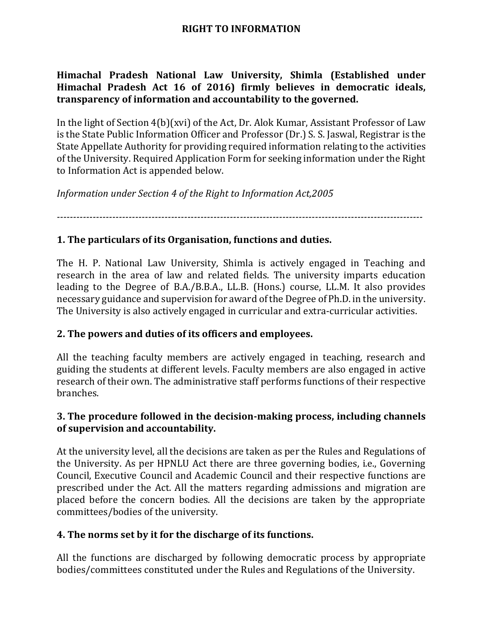## **RIGHT TO INFORMATION**

**Himachal Pradesh National Law University, Shimla (Established under Himachal Pradesh Act 16 of 2016) firmly believes in democratic ideals, transparency of information and accountability to the governed.**

In the light of Section 4(b)(xvi) of the Act, Dr. Alok Kumar, Assistant Professor of Law is the State Public Information Officer and Professor (Dr.) S. S. Jaswal, Registrar is the State Appellate Authority for providing required information relating to the activities of the University. Required Application Form for seeking information under the Right to Information Act is appended below.

*Information under Section 4 of the Right to Information Act,2005*

*----------------------------------------------------------------------------------------------------------------*

## **1. The particulars of its Organisation, functions and duties.**

The H. P. National Law University, Shimla is actively engaged in Teaching and research in the area of law and related fields. The university imparts education leading to the Degree of B.A./B.B.A., LL.B. (Hons.) course, LL.M. It also provides necessary guidance and supervision for award of the Degree of Ph.D. in the university. The University is also actively engaged in curricular and extra-curricular activities.

#### **2. The powers and duties of its officers and employees.**

All the teaching faculty members are actively engaged in teaching, research and guiding the students at different levels. Faculty members are also engaged in active research of their own. The administrative staff performs functions of their respective branches.

## **3. The procedure followed in the decision-making process, including channels of supervision and accountability.**

At the university level, all the decisions are taken as per the Rules and Regulations of the University. As per HPNLU Act there are three governing bodies, i.e., Governing Council, Executive Council and Academic Council and their respective functions are prescribed under the Act. All the matters regarding admissions and migration are placed before the concern bodies. All the decisions are taken by the appropriate committees/bodies of the university.

## **4. The norms set by it for the discharge of its functions.**

All the functions are discharged by following democratic process by appropriate bodies/committees constituted under the Rules and Regulations of the University.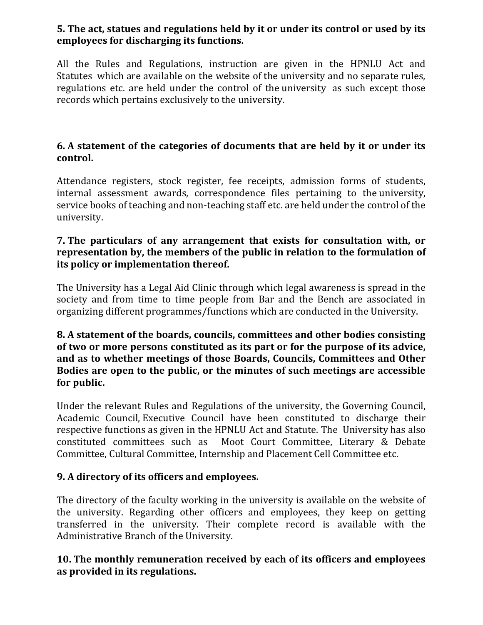# **5. The act, statues and regulations held by it or under its control or used by its employees for discharging its functions.**

All the Rules and Regulations, instruction are given in the HPNLU Act and Statutes which are available on the website of the university and no separate rules, regulations etc. are held under the control of the university as such except those records which pertains exclusively to the university.

# **6. A statement of the categories of documents that are held by it or under its control.**

Attendance registers, stock register, fee receipts, admission forms of students, internal assessment awards, correspondence files pertaining to the university, service books of teaching and non-teaching staff etc. are held under the control of the university.

#### **7. The particulars of any arrangement that exists for consultation with, or representation by, the members of the public in relation to the formulation of its policy or implementation thereof.**

The University has a Legal Aid Clinic through which legal awareness is spread in the society and from time to time people from Bar and the Bench are associated in organizing different programmes/functions which are conducted in the University.

#### **8. A statement of the boards, councils, committees and other bodies consisting of two or more persons constituted as its part or for the purpose of its advice, and as to whether meetings of those Boards, Councils, Committees and Other Bodies are open to the public, or the minutes of such meetings are accessible for public.**

Under the relevant Rules and Regulations of the university, the Governing Council, Academic Council, Executive Council have been constituted to discharge their respective functions as given in the HPNLU Act and Statute. The University has also constituted committees such as Moot Court Committee, Literary & Debate Committee, Cultural Committee, Internship and Placement Cell Committee etc.

## **9. A directory of its officers and employees.**

The directory of the faculty working in the university is available on the website of the university. Regarding other officers and employees, they keep on getting transferred in the university. Their complete record is available with the Administrative Branch of the University.

## **10. The monthly remuneration received by each of its officers and employees as provided in its regulations.**